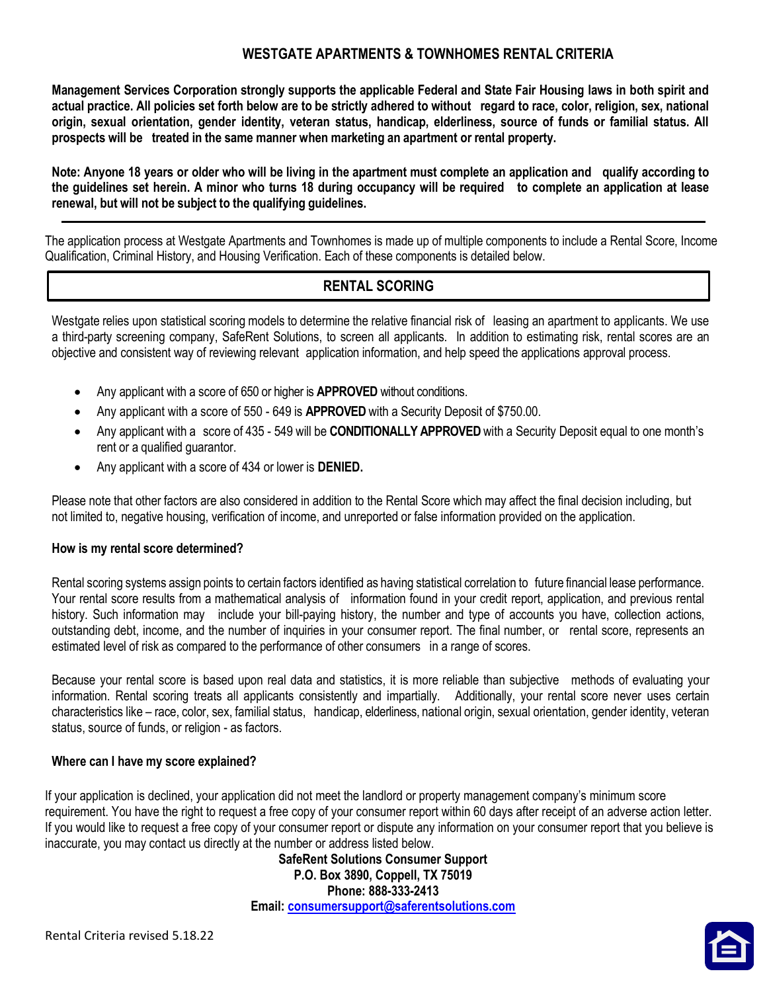# WESTGATE APARTMENTS & TOWNHOMES RENTAL CRITERIA

Management Services Corporation strongly supports the applicable Federal and State Fair Housing laws in both spirit and actual practice. All policies set forth below are to be strictly adhered to without regard to race, color, religion, sex, national origin, sexual orientation, gender identity, veteran status, handicap, elderliness, source of funds or familial status. All prospects will be treated in the same manner when marketing an apartment or rental property.

Note: Anyone 18 years or older who will be living in the apartment must complete an application and qualify according to the guidelines set herein. A minor who turns 18 during occupancy will be required to complete an application at lease renewal, but will not be subject to the qualifying guidelines.

The application process at Westgate Apartments and Townhomes is made up of multiple components to include a Rental Score, Income Qualification, Criminal History, and Housing Verification. Each of these components is detailed below.

# RENTAL SCORING

Westgate relies upon statistical scoring models to determine the relative financial risk of leasing an apartment to applicants. We use a third-party screening company, SafeRent Solutions, to screen all applicants. In addition to estimating risk, rental scores are an objective and consistent way of reviewing relevant application information, and help speed the applications approval process.

- Any applicant with a score of 650 or higher is **APPROVED** without conditions.
- Any applicant with a score of 550 649 is **APPROVED** with a Security Deposit of \$750.00.
- Any applicant with a score of 435 549 will be **CONDITIONALLY APPROVED** with a Security Deposit equal to one month's rent or a qualified guarantor.
- Any applicant with a score of 434 or lower is **DENIED.**

Please note that other factors are also considered in addition to the Rental Score which may affect the final decision including, but not limited to, negative housing, verification of income, and unreported or false information provided on the application.

## How is my rental score determined?

Rental scoring systems assign points to certain factors identified as having statistical correlation to future financial lease performance. Your rental score results from a mathematical analysis of information found in your credit report, application, and previous rental history. Such information may include your bill-paying history, the number and type of accounts you have, collection actions, outstanding debt, income, and the number of inquiries in your consumer report. The final number, or rental score, represents an estimated level of risk as compared to the performance of other consumers in a range of scores.

Because your rental score is based upon real data and statistics, it is more reliable than subjective methods of evaluating your information. Rental scoring treats all applicants consistently and impartially. Additionally, your rental score never uses certain characteristics like – race, color, sex, familial status, handicap, elderliness, national origin, sexual orientation, gender identity, veteran status, source of funds, or religion - as factors.

## Where can I have my score explained?

If your application is declined, your application did not meet the landlord or property management company's minimum score requirement. You have the right to request a free copy of your consumer report within 60 days after receipt of an adverse action letter. If you would like to request a free copy of your consumer report or dispute any information on your consumer report that you believe is inaccurate, you may contact us directly at the number or address listed below.

SafeRent Solutions Consumer Support P.O. Box 3890, Coppell, TX 75019 Phone: 888-333-2413 Email: consumersupport@saferentsolutions.com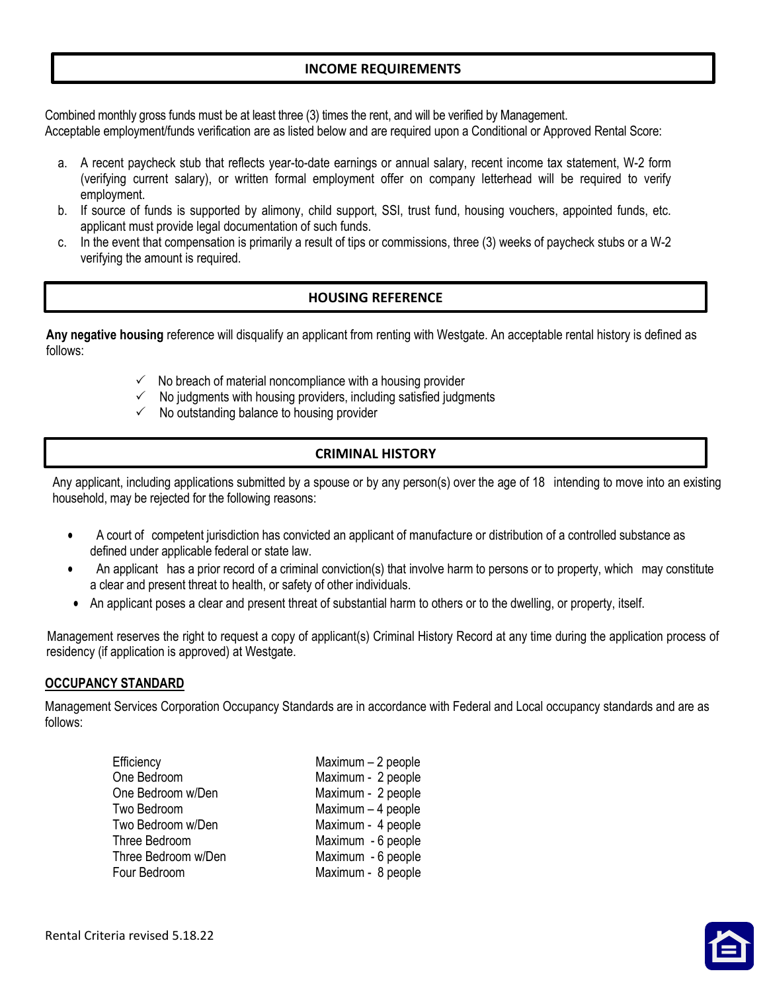## INCOME REQUIREMENTS

Combined monthly gross funds must be at least three (3) times the rent, and will be verified by Management. Acceptable employment/funds verification are as listed below and are required upon a Conditional or Approved Rental Score:

- a. A recent paycheck stub that reflects year-to-date earnings or annual salary, recent income tax statement, W-2 form (verifying current salary), or written formal employment offer on company letterhead will be required to verify employment.
- b. If source of funds is supported by alimony, child support, SSI, trust fund, housing vouchers, appointed funds, etc. applicant must provide legal documentation of such funds.
- c. In the event that compensation is primarily a result of tips or commissions, three (3) weeks of paycheck stubs or a W-2 verifying the amount is required.

## HOUSING REFERENCE

Any negative housing reference will disqualify an applicant from renting with Westgate. An acceptable rental history is defined as follows:

- $\checkmark$  No breach of material noncompliance with a housing provider
- $\checkmark$  No judgments with housing providers, including satisfied judgments
- $\checkmark$  No outstanding balance to housing provider

# CRIMINAL HISTORY

Any applicant, including applications submitted by a spouse or by any person(s) over the age of 18 intending to move into an existing household, may be rejected for the following reasons:

- A court of competent jurisdiction has convicted an applicant of manufacture or distribution of a controlled substance as defined under applicable federal or state law.
- An applicant has a prior record of a criminal conviction(s) that involve harm to persons or to property, which may constitute a clear and present threat to health, or safety of other individuals.
- An applicant poses a clear and present threat of substantial harm to others or to the dwelling, or property, itself.

Management reserves the right to request a copy of applicant(s) Criminal History Record at any time during the application process of residency (if application is approved) at Westgate.

## OCCUPANCY STANDARD

Management Services Corporation Occupancy Standards are in accordance with Federal and Local occupancy standards and are as follows:

| Efficiency          | Maximum - 2 people |
|---------------------|--------------------|
| One Bedroom         | Maximum - 2 people |
| One Bedroom w/Den   | Maximum - 2 people |
| Two Bedroom         | Maximum - 4 people |
| Two Bedroom w/Den   | Maximum - 4 people |
| Three Bedroom       | Maximum - 6 people |
| Three Bedroom w/Den | Maximum - 6 people |
| Four Bedroom        | Maximum - 8 people |
|                     |                    |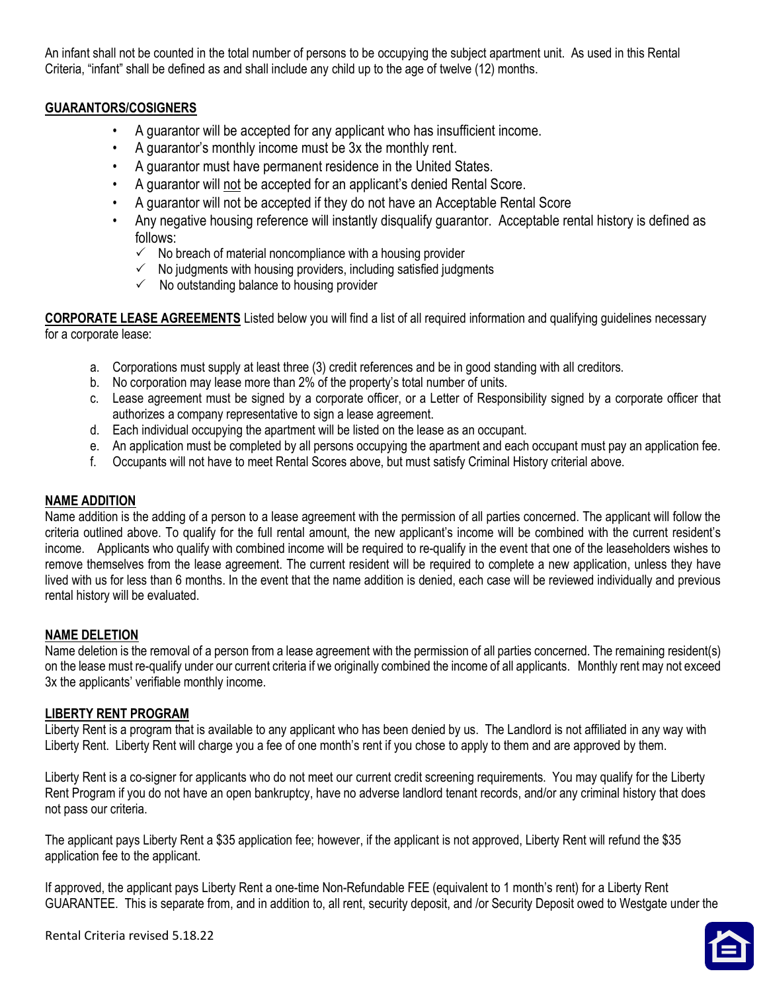An infant shall not be counted in the total number of persons to be occupying the subject apartment unit. As used in this Rental Criteria, "infant" shall be defined as and shall include any child up to the age of twelve (12) months.

# GUARANTORS/COSIGNERS

- A guarantor will be accepted for any applicant who has insufficient income.
- A guarantor's monthly income must be 3x the monthly rent.
- A guarantor must have permanent residence in the United States.
- A guarantor will not be accepted for an applicant's denied Rental Score.
- A guarantor will not be accepted if they do not have an Acceptable Rental Score
- Any negative housing reference will instantly disqualify guarantor. Acceptable rental history is defined as follows:
	- $\checkmark$  No breach of material noncompliance with a housing provider
	- $\checkmark$  No judgments with housing providers, including satisfied judgments
	- $\checkmark$  No outstanding balance to housing provider

CORPORATE LEASE AGREEMENTS Listed below you will find a list of all required information and qualifying guidelines necessary for a corporate lease:

- a. Corporations must supply at least three (3) credit references and be in good standing with all creditors.
- b. No corporation may lease more than 2% of the property's total number of units.
- c. Lease agreement must be signed by a corporate officer, or a Letter of Responsibility signed by a corporate officer that authorizes a company representative to sign a lease agreement.
- d. Each individual occupying the apartment will be listed on the lease as an occupant.
- e. An application must be completed by all persons occupying the apartment and each occupant must pay an application fee.
- f. Occupants will not have to meet Rental Scores above, but must satisfy Criminal History criterial above.

## NAME ADDITION

Name addition is the adding of a person to a lease agreement with the permission of all parties concerned. The applicant will follow the criteria outlined above. To qualify for the full rental amount, the new applicant's income will be combined with the current resident's income. Applicants who qualify with combined income will be required to re-qualify in the event that one of the leaseholders wishes to remove themselves from the lease agreement. The current resident will be required to complete a new application, unless they have lived with us for less than 6 months. In the event that the name addition is denied, each case will be reviewed individually and previous rental history will be evaluated.

## NAME DELETION

Name deletion is the removal of a person from a lease agreement with the permission of all parties concerned. The remaining resident(s) on the lease must re-qualify under our current criteria if we originally combined the income of all applicants. Monthly rent may not exceed 3x the applicants' verifiable monthly income.

## LIBERTY RENT PROGRAM

Liberty Rent is a program that is available to any applicant who has been denied by us. The Landlord is not affiliated in any way with Liberty Rent. Liberty Rent will charge you a fee of one month's rent if you chose to apply to them and are approved by them.

Liberty Rent is a co-signer for applicants who do not meet our current credit screening requirements. You may qualify for the Liberty Rent Program if you do not have an open bankruptcy, have no adverse landlord tenant records, and/or any criminal history that does not pass our criteria.

The applicant pays Liberty Rent a \$35 application fee; however, if the applicant is not approved, Liberty Rent will refund the \$35 application fee to the applicant.

If approved, the applicant pays Liberty Rent a one-time Non-Refundable FEE (equivalent to 1 month's rent) for a Liberty Rent GUARANTEE. This is separate from, and in addition to, all rent, security deposit, and /or Security Deposit owed to Westgate under the